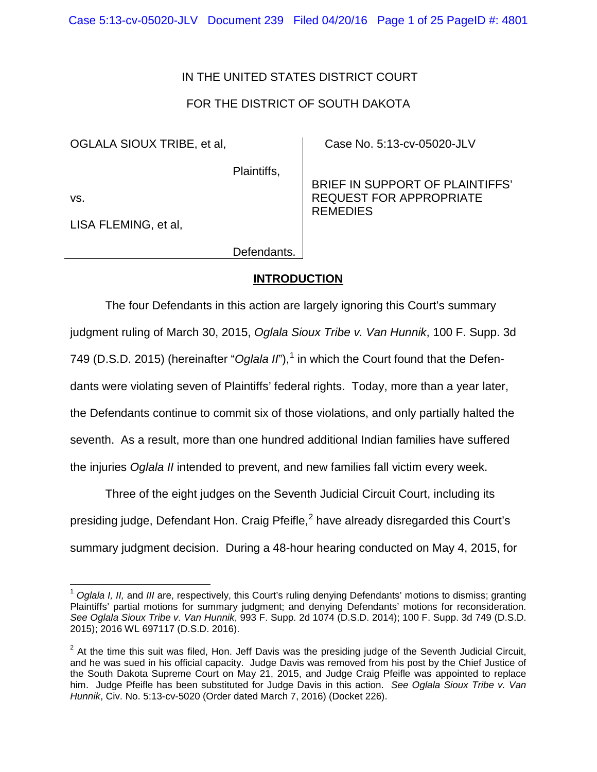## IN THE UNITED STATES DISTRICT COURT

## FOR THE DISTRICT OF SOUTH DAKOTA

OGLALA SIOUX TRIBE, et al,

Plaintiffs,

vs.

LISA FLEMING, et al,

Case No. 5:13-cv-05020-JLV

BRIEF IN SUPPORT OF PLAINTIFFS' REQUEST FOR APPROPRIATE REMEDIES

Defendants.

## **INTRODUCTION**

The four Defendants in this action are largely ignoring this Court's summary judgment ruling of March 30, 2015, *Oglala Sioux Tribe v. Van Hunnik*, 100 F. Supp. 3d 749 (D.S.D. 20[1](#page-0-0)5) (hereinafter "*Oglala II*"),<sup>1</sup> in which the Court found that the Defendants were violating seven of Plaintiffs' federal rights. Today, more than a year later, the Defendants continue to commit six of those violations, and only partially halted the seventh. As a result, more than one hundred additional Indian families have suffered the injuries *Oglala II* intended to prevent, and new families fall victim every week.

Three of the eight judges on the Seventh Judicial Circuit Court, including its presiding judge, Defendant Hon. Craig Pfeifle. $^2$  $^2$  have already disregarded this Court's summary judgment decision. During a 48-hour hearing conducted on May 4, 2015, for

<sup>1</sup> *Oglala I, II,* and *III* are, respectively, this Court's ruling denying Defendants' motions to dismiss; granting Plaintiffs' partial motions for summary judgment; and denying Defendants' motions for reconsideration. *See Oglala Sioux Tribe v. Van Hunnik*, 993 F. Supp. 2d 1074 (D.S.D. 2014); 100 F. Supp. 3d 749 (D.S.D. 2015); 2016 WL 697117 (D.S.D. 2016).  $\overline{1}$ 

<span id="page-0-1"></span><span id="page-0-0"></span> $2$  At the time this suit was filed, Hon. Jeff Davis was the presiding judge of the Seventh Judicial Circuit, and he was sued in his official capacity. Judge Davis was removed from his post by the Chief Justice of the South Dakota Supreme Court on May 21, 2015, and Judge Craig Pfeifle was appointed to replace him. Judge Pfeifle has been substituted for Judge Davis in this action. *See Oglala Sioux Tribe v. Van Hunnik*, Civ. No. 5:13-cv-5020 (Order dated March 7, 2016) (Docket 226).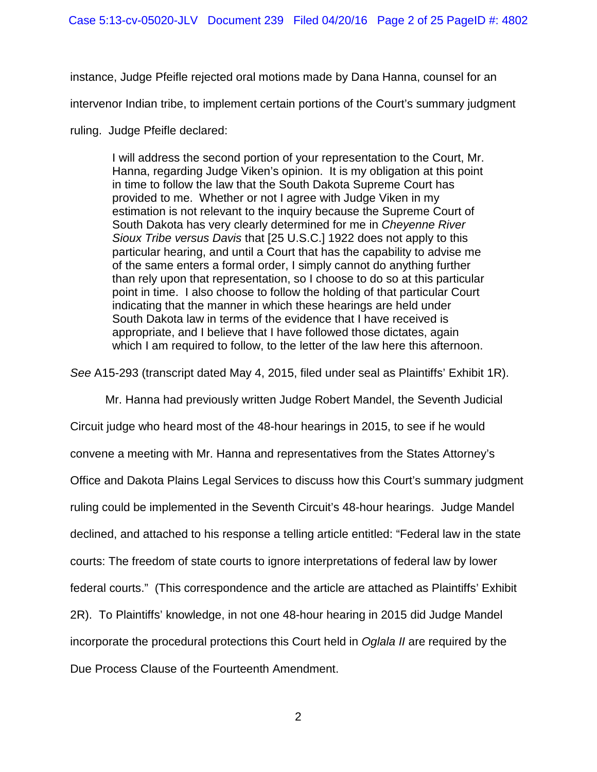instance, Judge Pfeifle rejected oral motions made by Dana Hanna, counsel for an

intervenor Indian tribe, to implement certain portions of the Court's summary judgment

ruling. Judge Pfeifle declared:

I will address the second portion of your representation to the Court, Mr. Hanna, regarding Judge Viken's opinion. It is my obligation at this point in time to follow the law that the South Dakota Supreme Court has provided to me. Whether or not I agree with Judge Viken in my estimation is not relevant to the inquiry because the Supreme Court of South Dakota has very clearly determined for me in *Cheyenne River Sioux Tribe versus Davis* that [25 U.S.C.] 1922 does not apply to this particular hearing, and until a Court that has the capability to advise me of the same enters a formal order, I simply cannot do anything further than rely upon that representation, so I choose to do so at this particular point in time. I also choose to follow the holding of that particular Court indicating that the manner in which these hearings are held under South Dakota law in terms of the evidence that I have received is appropriate, and I believe that I have followed those dictates, again which I am required to follow, to the letter of the law here this afternoon.

*See* A15-293 (transcript dated May 4, 2015, filed under seal as Plaintiffs' Exhibit 1R).

Mr. Hanna had previously written Judge Robert Mandel, the Seventh Judicial

Circuit judge who heard most of the 48-hour hearings in 2015, to see if he would convene a meeting with Mr. Hanna and representatives from the States Attorney's Office and Dakota Plains Legal Services to discuss how this Court's summary judgment ruling could be implemented in the Seventh Circuit's 48-hour hearings. Judge Mandel declined, and attached to his response a telling article entitled: "Federal law in the state courts: The freedom of state courts to ignore interpretations of federal law by lower federal courts." (This correspondence and the article are attached as Plaintiffs' Exhibit 2R). To Plaintiffs' knowledge, in not one 48-hour hearing in 2015 did Judge Mandel incorporate the procedural protections this Court held in *Oglala II* are required by the Due Process Clause of the Fourteenth Amendment.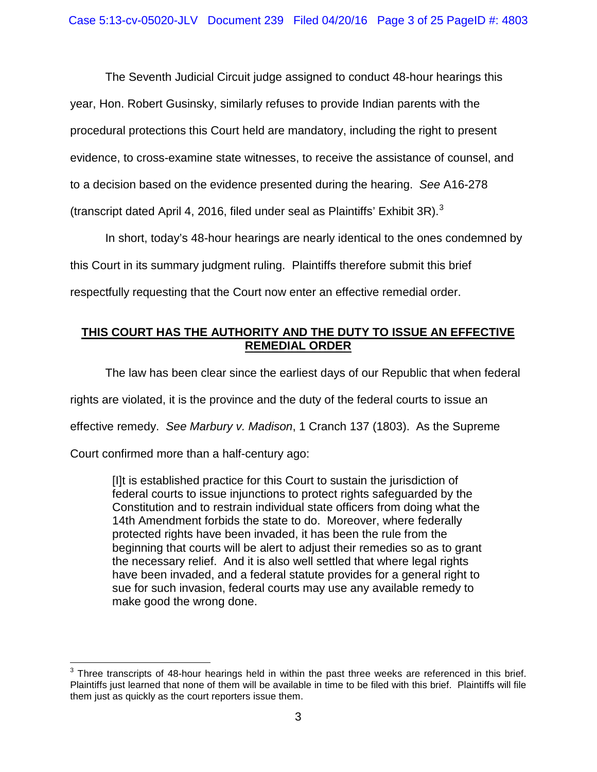The Seventh Judicial Circuit judge assigned to conduct 48-hour hearings this year, Hon. Robert Gusinsky, similarly refuses to provide Indian parents with the procedural protections this Court held are mandatory, including the right to present evidence, to cross-examine state witnesses, to receive the assistance of counsel, and to a decision based on the evidence presented during the hearing. *See* A16-278 (transcript dated April 4, 2016, filed under seal as Plaintiffs' Exhibit [3](#page-2-0)R).<sup>3</sup>

In short, today's 48-hour hearings are nearly identical to the ones condemned by this Court in its summary judgment ruling. Plaintiffs therefore submit this brief respectfully requesting that the Court now enter an effective remedial order.

## **THIS COURT HAS THE AUTHORITY AND THE DUTY TO ISSUE AN EFFECTIVE REMEDIAL ORDER**

The law has been clear since the earliest days of our Republic that when federal rights are violated, it is the province and the duty of the federal courts to issue an effective remedy. *See Marbury v. Madison*, 1 Cranch 137 (1803). As the Supreme

Court confirmed more than a half-century ago:

[I]t is established practice for this Court to sustain the jurisdiction of federal courts to issue injunctions to protect rights safeguarded by the Constitution and to restrain individual state officers from doing what the 14th Amendment forbids the state to do. Moreover, where federally protected rights have been invaded, it has been the rule from the beginning that courts will be alert to adjust their remedies so as to grant the necessary relief. And it is also well settled that where legal rights have been invaded, and a federal statute provides for a general right to sue for such invasion, federal courts may use any available remedy to make good the wrong done.

<span id="page-2-0"></span> $3$  Three transcripts of 48-hour hearings held in within the past three weeks are referenced in this brief. Plaintiffs just learned that none of them will be available in time to be filed with this brief. Plaintiffs will file them just as quickly as the court reporters issue them.  $\overline{a}$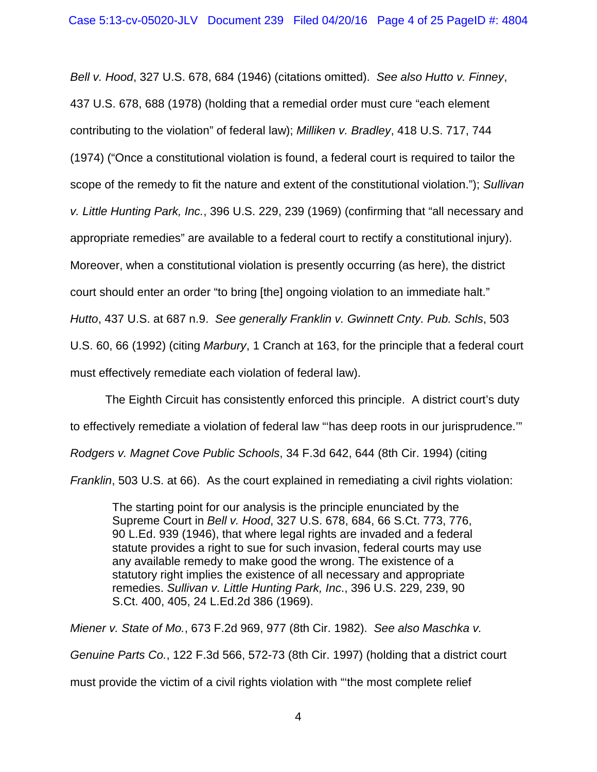*Bell v. Hood*, 327 U.S. 678, 684 (1946) (citations omitted). *See also Hutto v. Finney*, 437 U.S. 678, 688 (1978) (holding that a remedial order must cure "each element contributing to the violation" of federal law); *Milliken v. Bradley*, 418 U.S. 717, 744 (1974) ("Once a constitutional violation is found, a federal court is required to tailor the scope of the remedy to fit the nature and extent of the constitutional violation."); *Sullivan v. Little Hunting Park, Inc.*, 396 U.S. 229, 239 (1969) (confirming that "all necessary and appropriate remedies" are available to a federal court to rectify a constitutional injury). Moreover, when a constitutional violation is presently occurring (as here), the district court should enter an order "to bring [the] ongoing violation to an immediate halt." *Hutto*, 437 U.S. at 687 n.9. *See generally Franklin v. Gwinnett Cnty. Pub. Schls*, 503 U.S. 60, 66 (1992) (citing *Marbury*, 1 Cranch at 163, for the principle that a federal court must effectively remediate each violation of federal law).

The Eighth Circuit has consistently enforced this principle. A district court's duty to effectively remediate a violation of federal law "'has deep roots in our jurisprudence.'" *Rodgers v. Magnet Cove Public Schools*, 34 F.3d 642, 644 (8th Cir. 1994) (citing *Franklin*, 503 U.S. at 66). As the court explained in remediating a civil rights violation:

The starting point for our analysis is the principle enunciated by the Supreme Court in *Bell v. Hood*, 327 U.S. 678, 684, 66 S.Ct. 773, 776, 90 L.Ed. 939 (1946), that where legal rights are invaded and a federal statute provides a right to sue for such invasion, federal courts may use any available remedy to make good the wrong. The existence of a statutory right implies the existence of all necessary and appropriate remedies. *Sullivan v. Little Hunting Park, Inc*., 396 U.S. 229, 239, 90 S.Ct. 400, 405, 24 L.Ed.2d 386 (1969).

*Miener v. State of Mo.*, 673 F.2d 969, 977 (8th Cir. 1982). *See also Maschka v. Genuine Parts Co.*, 122 F.3d 566, 572-73 (8th Cir. 1997) (holding that a district court must provide the victim of a civil rights violation with "'the most complete relief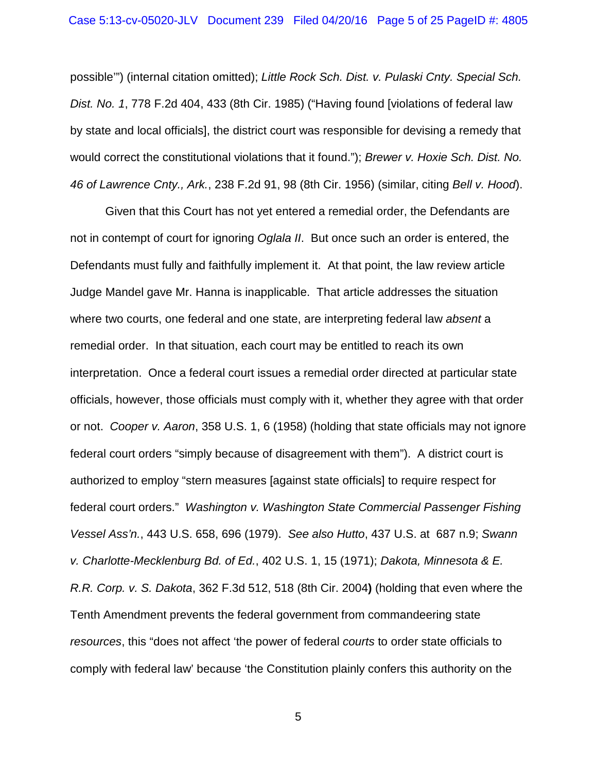possible'") (internal citation omitted); *Little Rock Sch. Dist. v. Pulaski Cnty. Special Sch. Dist. No. 1*, 778 F.2d 404, 433 (8th Cir. 1985) ("Having found [violations of federal law by state and local officials], the district court was responsible for devising a remedy that would correct the constitutional violations that it found."); *Brewer v. Hoxie Sch. Dist. No. 46 of Lawrence Cnty., Ark.*, 238 F.2d 91, 98 (8th Cir. 1956) (similar, citing *Bell v. Hood*).

Given that this Court has not yet entered a remedial order, the Defendants are not in contempt of court for ignoring *Oglala II*. But once such an order is entered, the Defendants must fully and faithfully implement it. At that point, the law review article Judge Mandel gave Mr. Hanna is inapplicable. That article addresses the situation where two courts, one federal and one state, are interpreting federal law *absent* a remedial order. In that situation, each court may be entitled to reach its own interpretation. Once a federal court issues a remedial order directed at particular state officials, however, those officials must comply with it, whether they agree with that order or not. *Cooper v. Aaron*, 358 U.S. 1, 6 (1958) (holding that state officials may not ignore federal court orders "simply because of disagreement with them"). A district court is authorized to employ "stern measures [against state officials] to require respect for federal court orders." *Washington v. Washington State Commercial Passenger Fishing Vessel Ass'n.*, 443 U.S. 658, 696 (1979). *See also Hutto*, 437 U.S. at 687 n.9; *Swann v. Charlotte-Mecklenburg Bd. of Ed.*, 402 U.S. 1, 15 (1971); *Dakota, Minnesota & E. R.R. Corp. v. S. Dakota*, 362 F.3d 512, 518 (8th Cir. 2004**)** (holding that even where the Tenth Amendment prevents the federal government from commandeering state *resources*, this "does not affect 'the power of federal *courts* to order state officials to comply with federal law' because 'the Constitution plainly confers this authority on the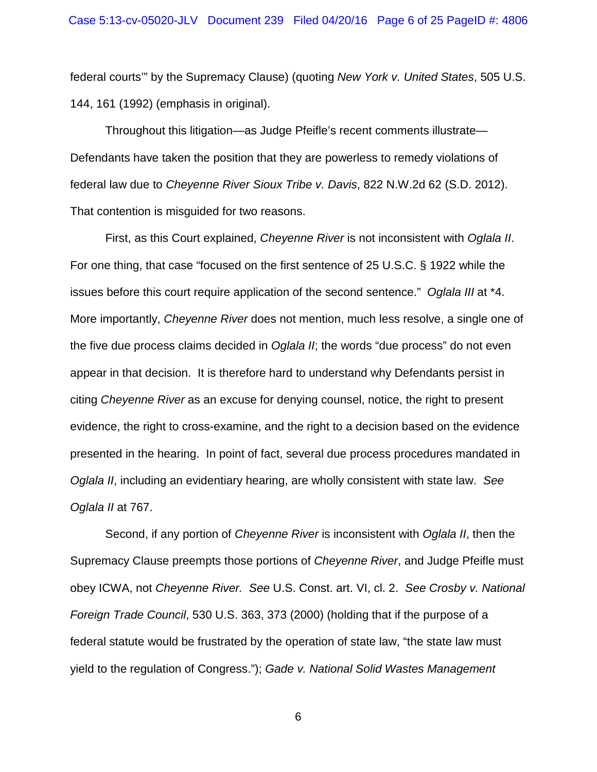federal courts'" by the Supremacy Clause) (quoting *New York v. United States*, 505 U.S. 144, 161 (1992) (emphasis in original).

Throughout this litigation—as Judge Pfeifle's recent comments illustrate— Defendants have taken the position that they are powerless to remedy violations of federal law due to *Cheyenne River Sioux Tribe v. Davis*, 822 N.W.2d 62 (S.D. 2012). That contention is misguided for two reasons.

First, as this Court explained, *Cheyenne River* is not inconsistent with *Oglala II*. For one thing, that case "focused on the first sentence of 25 U.S.C. § 1922 while the issues before this court require application of the second sentence." *Oglala III* at \*4. More importantly, *Cheyenne River* does not mention, much less resolve, a single one of the five due process claims decided in *Oglala II*; the words "due process" do not even appear in that decision. It is therefore hard to understand why Defendants persist in citing *Cheyenne River* as an excuse for denying counsel, notice, the right to present evidence, the right to cross-examine, and the right to a decision based on the evidence presented in the hearing. In point of fact, several due process procedures mandated in *Oglala II*, including an evidentiary hearing, are wholly consistent with state law. *See Oglala II* at 767.

Second, if any portion of *Cheyenne River* is inconsistent with *Oglala II*, then the Supremacy Clause preempts those portions of *Cheyenne River*, and Judge Pfeifle must obey ICWA, not *Cheyenne River. See* U.S. Const. art. VI, cl. 2. *See Crosby v. National Foreign Trade Council*, 530 U.S. 363, 373 (2000) (holding that if the purpose of a federal statute would be frustrated by the operation of state law, "the state law must yield to the regulation of Congress."); *Gade v. National Solid Wastes Management*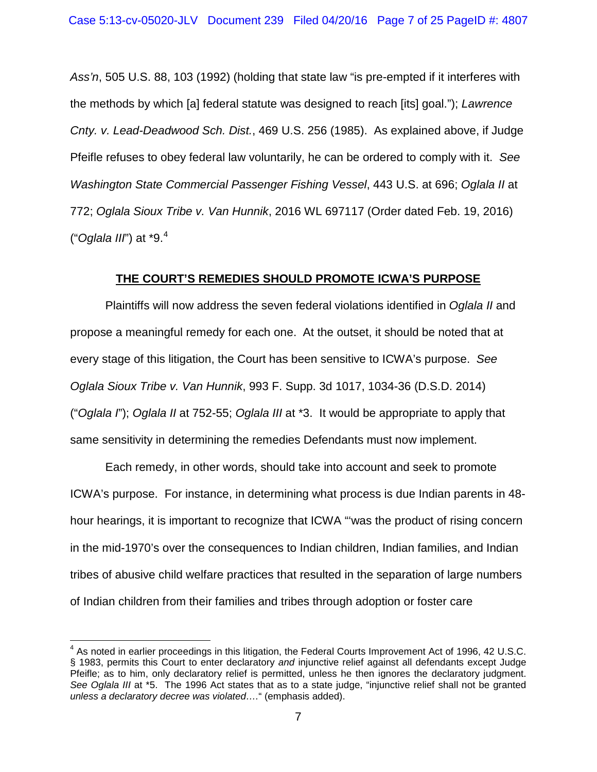*Ass'n*, 505 U.S. 88, 103 (1992) (holding that state law "is pre-empted if it interferes with the methods by which [a] federal statute was designed to reach [its] goal."); *Lawrence Cnty. v. Lead-Deadwood Sch. Dist.*, 469 U.S. 256 (1985). As explained above, if Judge Pfeifle refuses to obey federal law voluntarily, he can be ordered to comply with it. *See Washington State Commercial Passenger Fishing Vessel*, 443 U.S. at 696; *Oglala II* at 772; *Oglala Sioux Tribe v. Van Hunnik*, 2016 WL 697117 (Order dated Feb. 19, 2016) ("*Oglala III*") at \*9. [4](#page-6-0)

### **THE COURT'S REMEDIES SHOULD PROMOTE ICWA'S PURPOSE**

Plaintiffs will now address the seven federal violations identified in *Oglala II* and propose a meaningful remedy for each one. At the outset, it should be noted that at every stage of this litigation, the Court has been sensitive to ICWA's purpose. *See Oglala Sioux Tribe v. Van Hunnik*, 993 F. Supp. 3d 1017, 1034-36 (D.S.D. 2014) ("*Oglala I*"); *Oglala II* at 752-55; *Oglala III* at \*3. It would be appropriate to apply that same sensitivity in determining the remedies Defendants must now implement.

Each remedy, in other words, should take into account and seek to promote ICWA's purpose. For instance, in determining what process is due Indian parents in 48 hour hearings, it is important to recognize that ICWA "'was the product of rising concern in the mid-1970's over the consequences to Indian children, Indian families, and Indian tribes of abusive child welfare practices that resulted in the separation of large numbers of Indian children from their families and tribes through adoption or foster care

 $\overline{\phantom{a}}$ 

<span id="page-6-0"></span> $4$  As noted in earlier proceedings in this litigation, the Federal Courts Improvement Act of 1996, 42 U.S.C. § 1983, permits this Court to enter declaratory *and* injunctive relief against all defendants except Judge Pfeifle; as to him, only declaratory relief is permitted, unless he then ignores the declaratory judgment. *See Oglala III* at \*5. The 1996 Act states that as to a state judge, "injunctive relief shall not be granted *unless a declaratory decree was violated….*" (emphasis added).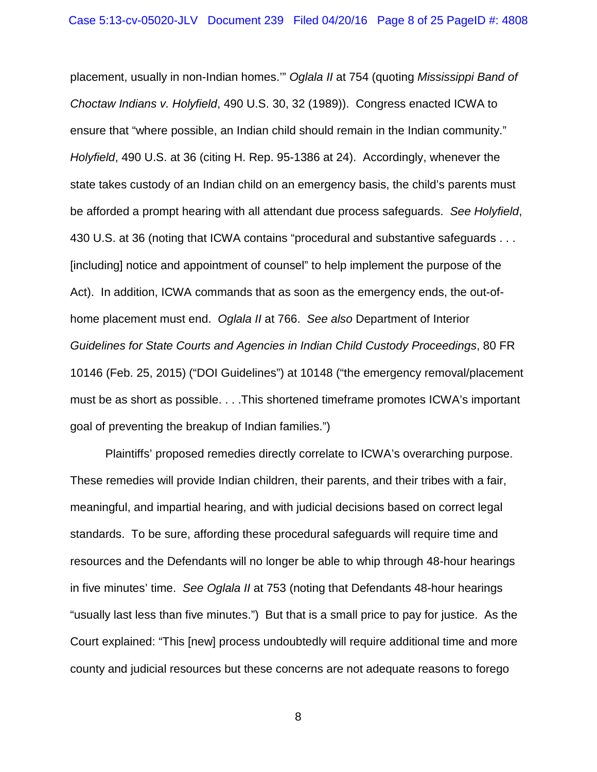placement, usually in non-Indian homes.'" *Oglala II* at 754 (quoting *Mississippi Band of Choctaw Indians v. Holyfield*, 490 U.S. 30, 32 (1989)). Congress enacted ICWA to ensure that "where possible, an Indian child should remain in the Indian community." *Holyfield*, 490 U.S. at 36 (citing H. Rep. 95-1386 at 24). Accordingly, whenever the state takes custody of an Indian child on an emergency basis, the child's parents must be afforded a prompt hearing with all attendant due process safeguards. *See Holyfield*, 430 U.S. at 36 (noting that ICWA contains "procedural and substantive safeguards . . . [including] notice and appointment of counsel" to help implement the purpose of the Act). In addition, ICWA commands that as soon as the emergency ends, the out-ofhome placement must end. *Oglala II* at 766. *See also* Department of Interior *Guidelines for State Courts and Agencies in Indian Child Custody Proceedings*, 80 FR 10146 (Feb. 25, 2015) ("DOI Guidelines") at 10148 ("the emergency removal/placement must be as short as possible. . . .This shortened timeframe promotes ICWA's important goal of preventing the breakup of Indian families.")

Plaintiffs' proposed remedies directly correlate to ICWA's overarching purpose. These remedies will provide Indian children, their parents, and their tribes with a fair, meaningful, and impartial hearing, and with judicial decisions based on correct legal standards. To be sure, affording these procedural safeguards will require time and resources and the Defendants will no longer be able to whip through 48-hour hearings in five minutes' time. *See Oglala II* at 753 (noting that Defendants 48-hour hearings "usually last less than five minutes.") But that is a small price to pay for justice. As the Court explained: "This [new] process undoubtedly will require additional time and more county and judicial resources but these concerns are not adequate reasons to forego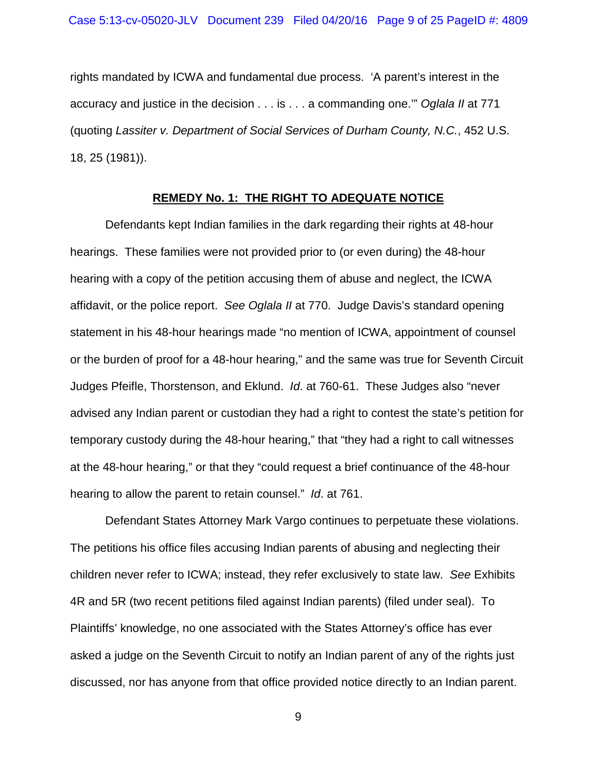rights mandated by ICWA and fundamental due process. 'A parent's interest in the accuracy and justice in the decision . . . is . . . a commanding one.'" *Oglala II* at 771 (quoting *Lassiter v. Department of Social Services of Durham County, N.C.*, 452 U.S. 18, 25 (1981)).

#### **REMEDY No. 1: THE RIGHT TO ADEQUATE NOTICE**

Defendants kept Indian families in the dark regarding their rights at 48-hour hearings. These families were not provided prior to (or even during) the 48-hour hearing with a copy of the petition accusing them of abuse and neglect, the ICWA affidavit, or the police report. *See Oglala II* at 770. Judge Davis's standard opening statement in his 48-hour hearings made "no mention of ICWA, appointment of counsel or the burden of proof for a 48-hour hearing," and the same was true for Seventh Circuit Judges Pfeifle, Thorstenson, and Eklund. *Id*. at 760-61. These Judges also "never advised any Indian parent or custodian they had a right to contest the state's petition for temporary custody during the 48-hour hearing," that "they had a right to call witnesses at the 48-hour hearing," or that they "could request a brief continuance of the 48-hour hearing to allow the parent to retain counsel." *Id*. at 761.

Defendant States Attorney Mark Vargo continues to perpetuate these violations. The petitions his office files accusing Indian parents of abusing and neglecting their children never refer to ICWA; instead, they refer exclusively to state law. *See* Exhibits 4R and 5R (two recent petitions filed against Indian parents) (filed under seal). To Plaintiffs' knowledge, no one associated with the States Attorney's office has ever asked a judge on the Seventh Circuit to notify an Indian parent of any of the rights just discussed, nor has anyone from that office provided notice directly to an Indian parent.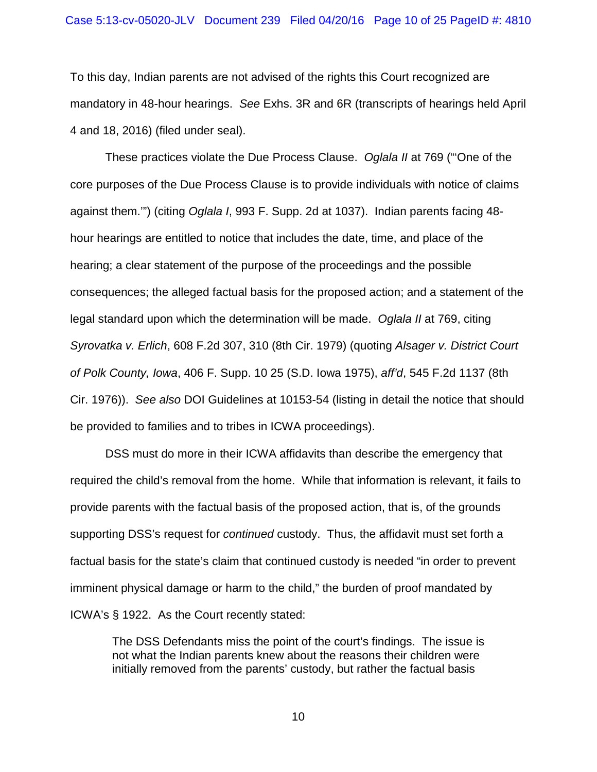#### Case 5:13-cv-05020-JLV Document 239 Filed 04/20/16 Page 10 of 25 PageID #: 4810

To this day, Indian parents are not advised of the rights this Court recognized are mandatory in 48-hour hearings. *See* Exhs. 3R and 6R (transcripts of hearings held April 4 and 18, 2016) (filed under seal).

These practices violate the Due Process Clause. *Oglala II* at 769 ("'One of the core purposes of the Due Process Clause is to provide individuals with notice of claims against them.'") (citing *Oglala I*, 993 F. Supp. 2d at 1037). Indian parents facing 48 hour hearings are entitled to notice that includes the date, time, and place of the hearing; a clear statement of the purpose of the proceedings and the possible consequences; the alleged factual basis for the proposed action; and a statement of the legal standard upon which the determination will be made. *Oglala II* at 769, citing *Syrovatka v. Erlich*, 608 F.2d 307, 310 (8th Cir. 1979) (quoting *Alsager v. District Court of Polk County, Iowa*, 406 F. Supp. 10 25 (S.D. Iowa 1975), *aff'd*, 545 F.2d 1137 (8th Cir. 1976)). *See also* DOI Guidelines at 10153-54 (listing in detail the notice that should be provided to families and to tribes in ICWA proceedings).

DSS must do more in their ICWA affidavits than describe the emergency that required the child's removal from the home. While that information is relevant, it fails to provide parents with the factual basis of the proposed action, that is, of the grounds supporting DSS's request for *continued* custody. Thus, the affidavit must set forth a factual basis for the state's claim that continued custody is needed "in order to prevent imminent physical damage or harm to the child," the burden of proof mandated by ICWA's § 1922. As the Court recently stated:

The DSS Defendants miss the point of the court's findings. The issue is not what the Indian parents knew about the reasons their children were initially removed from the parents' custody, but rather the factual basis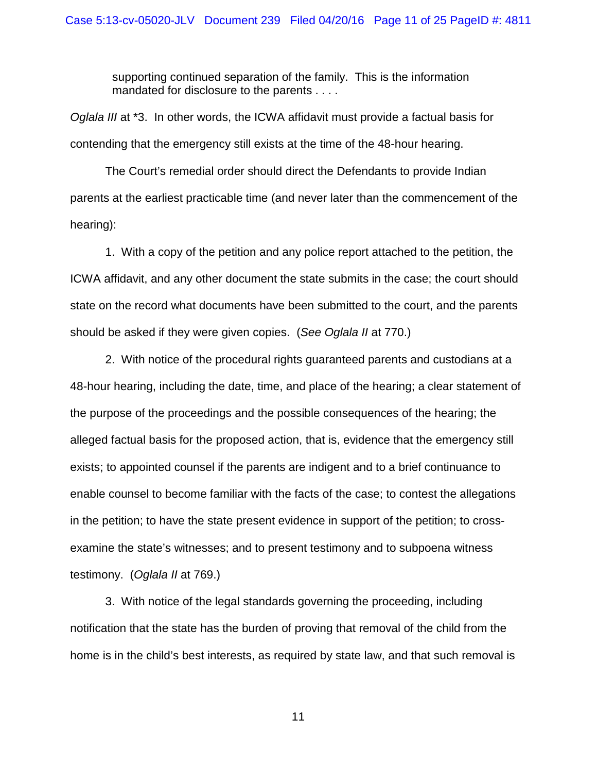supporting continued separation of the family. This is the information mandated for disclosure to the parents . . . .

*Oglala III* at \*3. In other words, the ICWA affidavit must provide a factual basis for contending that the emergency still exists at the time of the 48-hour hearing.

The Court's remedial order should direct the Defendants to provide Indian parents at the earliest practicable time (and never later than the commencement of the hearing):

1. With a copy of the petition and any police report attached to the petition, the ICWA affidavit, and any other document the state submits in the case; the court should state on the record what documents have been submitted to the court, and the parents should be asked if they were given copies. (*See Oglala II* at 770.)

2. With notice of the procedural rights guaranteed parents and custodians at a 48-hour hearing, including the date, time, and place of the hearing; a clear statement of the purpose of the proceedings and the possible consequences of the hearing; the alleged factual basis for the proposed action, that is, evidence that the emergency still exists; to appointed counsel if the parents are indigent and to a brief continuance to enable counsel to become familiar with the facts of the case; to contest the allegations in the petition; to have the state present evidence in support of the petition; to crossexamine the state's witnesses; and to present testimony and to subpoena witness testimony. (*Oglala II* at 769.)

3. With notice of the legal standards governing the proceeding, including notification that the state has the burden of proving that removal of the child from the home is in the child's best interests, as required by state law, and that such removal is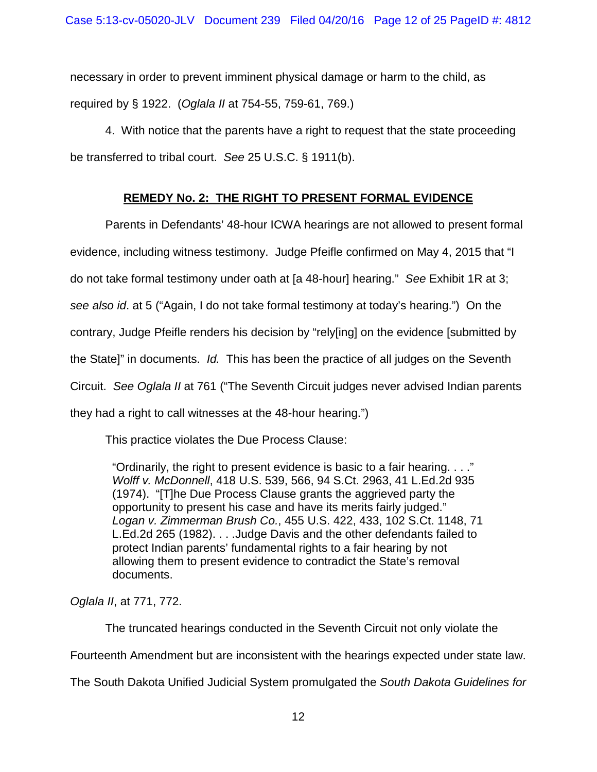necessary in order to prevent imminent physical damage or harm to the child, as required by § 1922. (*Oglala II* at 754-55, 759-61, 769.)

4. With notice that the parents have a right to request that the state proceeding be transferred to tribal court. *See* 25 U.S.C. § 1911(b).

## **REMEDY No. 2: THE RIGHT TO PRESENT FORMAL EVIDENCE**

Parents in Defendants' 48-hour ICWA hearings are not allowed to present formal evidence, including witness testimony. Judge Pfeifle confirmed on May 4, 2015 that "I do not take formal testimony under oath at [a 48-hour] hearing." *See* Exhibit 1R at 3; *see also id*. at 5 ("Again, I do not take formal testimony at today's hearing.") On the contrary, Judge Pfeifle renders his decision by "rely[ing] on the evidence [submitted by the State]" in documents. *Id.* This has been the practice of all judges on the Seventh Circuit. *See Oglala II* at 761 ("The Seventh Circuit judges never advised Indian parents they had a right to call witnesses at the 48-hour hearing.")

This practice violates the Due Process Clause:

"Ordinarily, the right to present evidence is basic to a fair hearing. . . ." *Wolff v. McDonnell*, 418 U.S. 539, 566, 94 S.Ct. 2963, 41 L.Ed.2d 935 (1974). "[T]he Due Process Clause grants the aggrieved party the opportunity to present his case and have its merits fairly judged." *Logan v. Zimmerman Brush Co.*, 455 U.S. 422, 433, 102 S.Ct. 1148, 71 L.Ed.2d 265 (1982). . . .Judge Davis and the other defendants failed to protect Indian parents' fundamental rights to a fair hearing by not allowing them to present evidence to contradict the State's removal documents.

*Oglala II*, at 771, 772.

The truncated hearings conducted in the Seventh Circuit not only violate the

Fourteenth Amendment but are inconsistent with the hearings expected under state law.

The South Dakota Unified Judicial System promulgated the *South Dakota Guidelines for*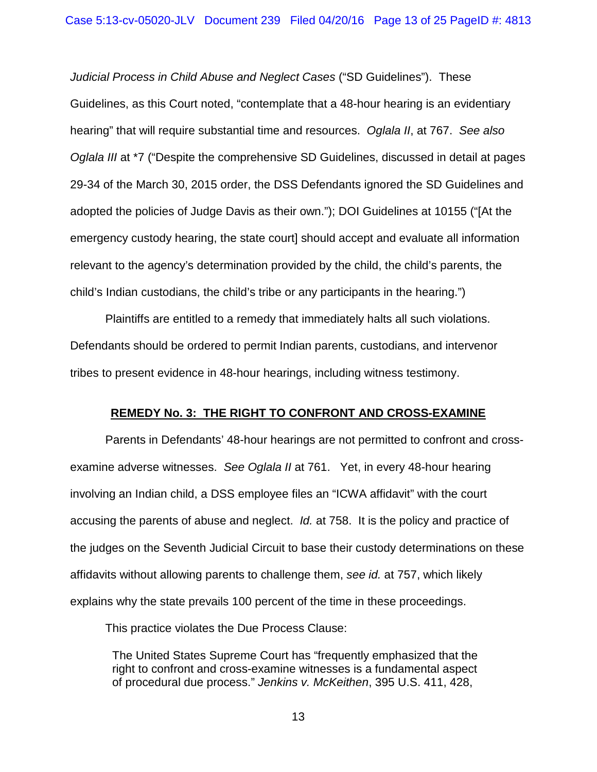*Judicial Process in Child Abuse and Neglect Cases* ("SD Guidelines"). These Guidelines, as this Court noted, "contemplate that a 48-hour hearing is an evidentiary hearing" that will require substantial time and resources. *Oglala II*, at 767. *See also Oglala III* at \*7 ("Despite the comprehensive SD Guidelines, discussed in detail at pages 29-34 of the March 30, 2015 order, the DSS Defendants ignored the SD Guidelines and adopted the policies of Judge Davis as their own."); DOI Guidelines at 10155 ("[At the emergency custody hearing, the state court] should accept and evaluate all information relevant to the agency's determination provided by the child, the child's parents, the child's Indian custodians, the child's tribe or any participants in the hearing.")

Plaintiffs are entitled to a remedy that immediately halts all such violations. Defendants should be ordered to permit Indian parents, custodians, and intervenor tribes to present evidence in 48-hour hearings, including witness testimony.

### **REMEDY No. 3: THE RIGHT TO CONFRONT AND CROSS-EXAMINE**

Parents in Defendants' 48-hour hearings are not permitted to confront and crossexamine adverse witnesses. *See Oglala II* at 761. Yet, in every 48-hour hearing involving an Indian child, a DSS employee files an "ICWA affidavit" with the court accusing the parents of abuse and neglect. *Id.* at 758. It is the policy and practice of the judges on the Seventh Judicial Circuit to base their custody determinations on these affidavits without allowing parents to challenge them, *see id.* at 757, which likely explains why the state prevails 100 percent of the time in these proceedings.

This practice violates the Due Process Clause:

The United States Supreme Court has "frequently emphasized that the right to confront and cross-examine witnesses is a fundamental aspect of procedural due process." *Jenkins v. McKeithen*, 395 U.S. 411, 428,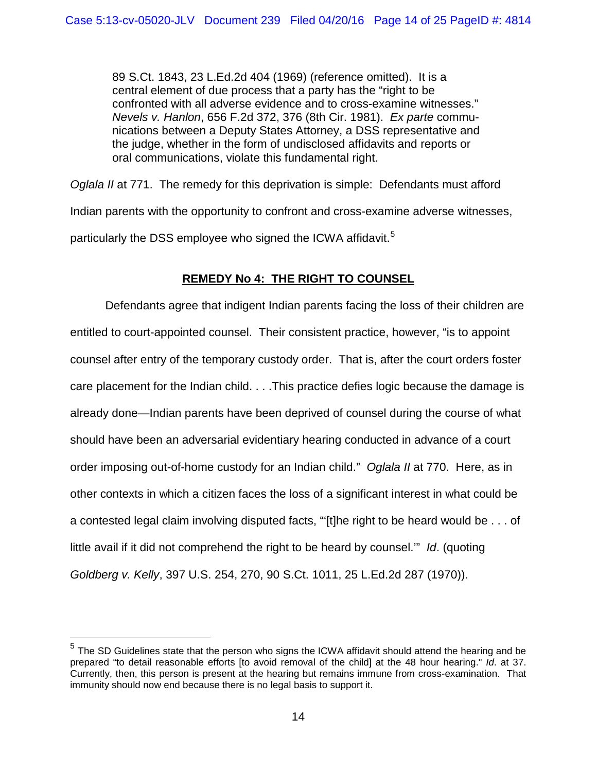89 S.Ct. 1843, 23 L.Ed.2d 404 (1969) (reference omitted). It is a central element of due process that a party has the "right to be confronted with all adverse evidence and to cross-examine witnesses." *Nevels v. Hanlon*, 656 F.2d 372, 376 (8th Cir. 1981). *Ex parte* communications between a Deputy States Attorney, a DSS representative and the judge, whether in the form of undisclosed affidavits and reports or oral communications, violate this fundamental right.

*Oglala II* at 771. The remedy for this deprivation is simple: Defendants must afford Indian parents with the opportunity to confront and cross-examine adverse witnesses, particularly the DSS employee who signed the ICWA affidavit.<sup>[5](#page-13-0)</sup>

# **REMEDY No 4: THE RIGHT TO COUNSEL**

Defendants agree that indigent Indian parents facing the loss of their children are entitled to court-appointed counsel. Their consistent practice, however, "is to appoint counsel after entry of the temporary custody order. That is, after the court orders foster care placement for the Indian child. . . .This practice defies logic because the damage is already done—Indian parents have been deprived of counsel during the course of what should have been an adversarial evidentiary hearing conducted in advance of a court order imposing out-of-home custody for an Indian child." *Oglala II* at 770. Here, as in other contexts in which a citizen faces the loss of a significant interest in what could be a contested legal claim involving disputed facts, "'[t]he right to be heard would be . . . of little avail if it did not comprehend the right to be heard by counsel.'" *Id*. (quoting *Goldberg v. Kelly*, 397 U.S. 254, 270, 90 S.Ct. 1011, 25 L.Ed.2d 287 (1970)).

 $\overline{a}$ 

<span id="page-13-0"></span> $<sup>5</sup>$  The SD Guidelines state that the person who signs the ICWA affidavit should attend the hearing and be</sup> prepared "to detail reasonable efforts [to avoid removal of the child] at the 48 hour hearing." *Id*. at 37. Currently, then, this person is present at the hearing but remains immune from cross-examination. That immunity should now end because there is no legal basis to support it.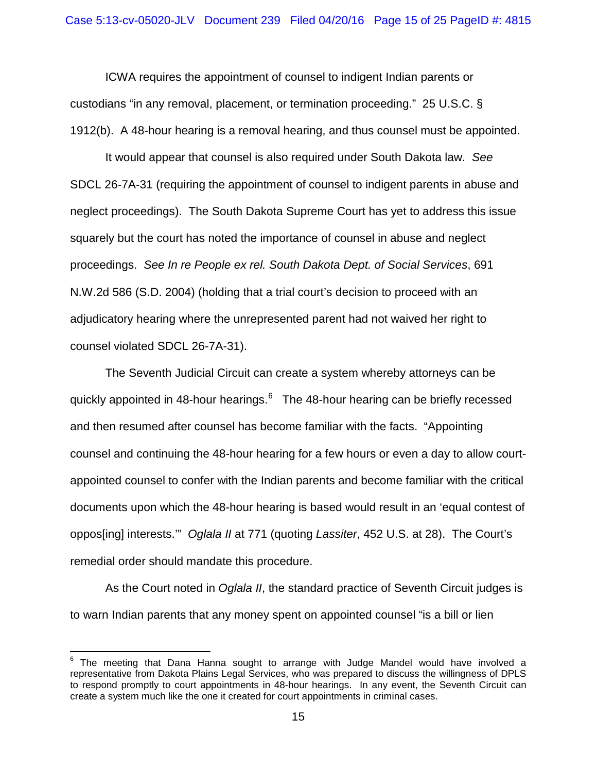ICWA requires the appointment of counsel to indigent Indian parents or custodians "in any removal, placement, or termination proceeding." 25 U.S.C. § 1912(b). A 48-hour hearing is a removal hearing, and thus counsel must be appointed.

It would appear that counsel is also required under South Dakota law. *See* SDCL 26-7A-31 (requiring the appointment of counsel to indigent parents in abuse and neglect proceedings). The South Dakota Supreme Court has yet to address this issue squarely but the court has noted the importance of counsel in abuse and neglect proceedings. *See In re People ex rel. South Dakota Dept. of Social Services*, 691 N.W.2d 586 (S.D. 2004) (holding that a trial court's decision to proceed with an adjudicatory hearing where the unrepresented parent had not waived her right to counsel violated SDCL 26-7A-31).

The Seventh Judicial Circuit can create a system whereby attorneys can be quickly appointed in 48-hour hearings.<sup>[6](#page-14-0)</sup> The 48-hour hearing can be briefly recessed and then resumed after counsel has become familiar with the facts. "Appointing counsel and continuing the 48-hour hearing for a few hours or even a day to allow courtappointed counsel to confer with the Indian parents and become familiar with the critical documents upon which the 48-hour hearing is based would result in an 'equal contest of oppos[ing] interests.'" *Oglala II* at 771 (quoting *Lassiter*, 452 U.S. at 28). The Court's remedial order should mandate this procedure.

As the Court noted in *Oglala II*, the standard practice of Seventh Circuit judges is to warn Indian parents that any money spent on appointed counsel "is a bill or lien

 $\overline{\phantom{a}}$ 

<span id="page-14-0"></span> $6$  The meeting that Dana Hanna sought to arrange with Judge Mandel would have involved a representative from Dakota Plains Legal Services, who was prepared to discuss the willingness of DPLS to respond promptly to court appointments in 48-hour hearings. In any event, the Seventh Circuit can create a system much like the one it created for court appointments in criminal cases.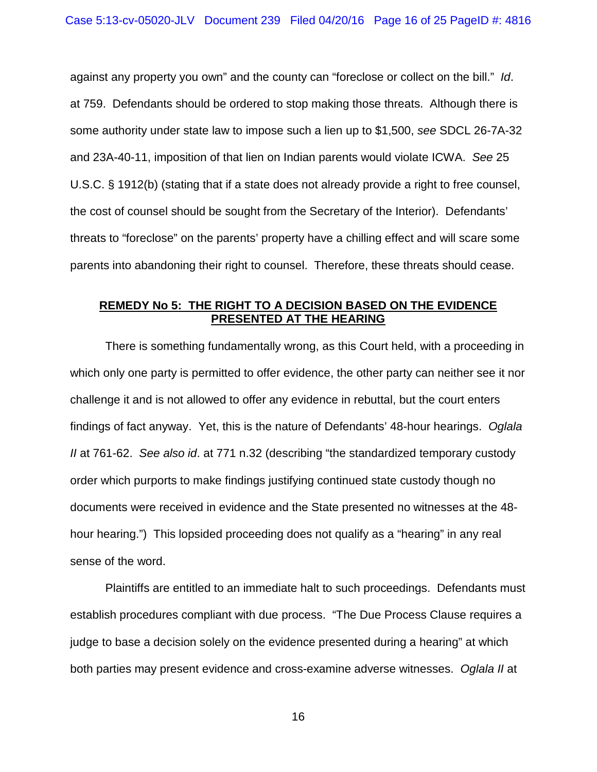against any property you own" and the county can "foreclose or collect on the bill." *Id*. at 759. Defendants should be ordered to stop making those threats. Although there is some authority under state law to impose such a lien up to \$1,500, *see* SDCL 26-7A-32 and 23A-40-11, imposition of that lien on Indian parents would violate ICWA. *See* 25 U.S.C. § 1912(b) (stating that if a state does not already provide a right to free counsel, the cost of counsel should be sought from the Secretary of the Interior). Defendants' threats to "foreclose" on the parents' property have a chilling effect and will scare some parents into abandoning their right to counsel. Therefore, these threats should cease.

### **REMEDY No 5: THE RIGHT TO A DECISION BASED ON THE EVIDENCE PRESENTED AT THE HEARING**

There is something fundamentally wrong, as this Court held, with a proceeding in which only one party is permitted to offer evidence, the other party can neither see it nor challenge it and is not allowed to offer any evidence in rebuttal, but the court enters findings of fact anyway. Yet, this is the nature of Defendants' 48-hour hearings. *Oglala II* at 761-62. *See also id*. at 771 n.32 (describing "the standardized temporary custody order which purports to make findings justifying continued state custody though no documents were received in evidence and the State presented no witnesses at the 48 hour hearing.") This lopsided proceeding does not qualify as a "hearing" in any real sense of the word.

Plaintiffs are entitled to an immediate halt to such proceedings. Defendants must establish procedures compliant with due process. "The Due Process Clause requires a judge to base a decision solely on the evidence presented during a hearing" at which both parties may present evidence and cross-examine adverse witnesses. *Oglala II* at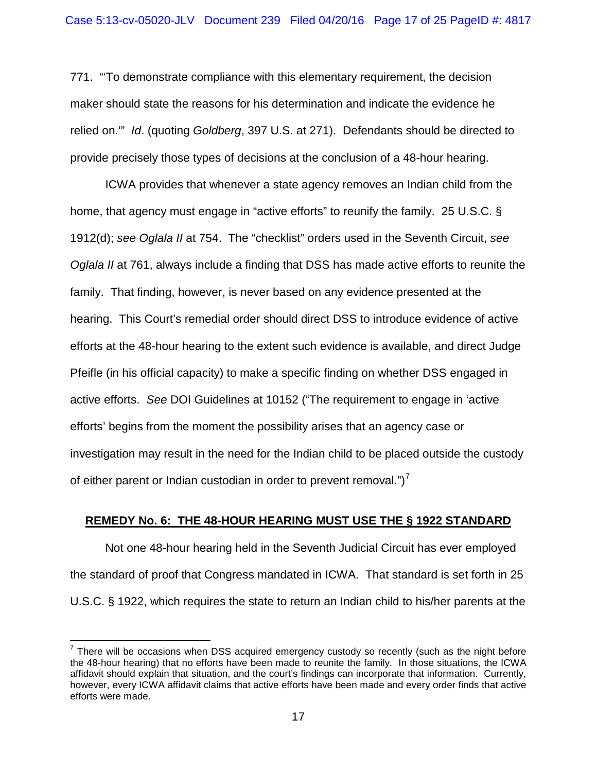771. "'To demonstrate compliance with this elementary requirement, the decision maker should state the reasons for his determination and indicate the evidence he relied on.'" *Id*. (quoting *Goldberg*, 397 U.S. at 271). Defendants should be directed to provide precisely those types of decisions at the conclusion of a 48-hour hearing.

ICWA provides that whenever a state agency removes an Indian child from the home, that agency must engage in "active efforts" to reunify the family. 25 U.S.C. § 1912(d); *see Oglala II* at 754. The "checklist" orders used in the Seventh Circuit, *see Oglala II* at 761, always include a finding that DSS has made active efforts to reunite the family. That finding, however, is never based on any evidence presented at the hearing. This Court's remedial order should direct DSS to introduce evidence of active efforts at the 48-hour hearing to the extent such evidence is available, and direct Judge Pfeifle (in his official capacity) to make a specific finding on whether DSS engaged in active efforts. *See* DOI Guidelines at 10152 ("The requirement to engage in 'active efforts' begins from the moment the possibility arises that an agency case or investigation may result in the need for the Indian child to be placed outside the custody of either parent or Indian custodian in order to prevent removal.") $<sup>7</sup>$  $<sup>7</sup>$  $<sup>7</sup>$ </sup>

### **REMEDY No. 6: THE 48-HOUR HEARING MUST USE THE § 1922 STANDARD**

Not one 48-hour hearing held in the Seventh Judicial Circuit has ever employed the standard of proof that Congress mandated in ICWA. That standard is set forth in 25 U.S.C. § 1922, which requires the state to return an Indian child to his/her parents at the

 $\overline{a}$ 

<span id="page-16-0"></span> $7$  There will be occasions when DSS acquired emergency custody so recently (such as the night before the 48-hour hearing) that no efforts have been made to reunite the family. In those situations, the ICWA affidavit should explain that situation, and the court's findings can incorporate that information. Currently, however, every ICWA affidavit claims that active efforts have been made and every order finds that active efforts were made.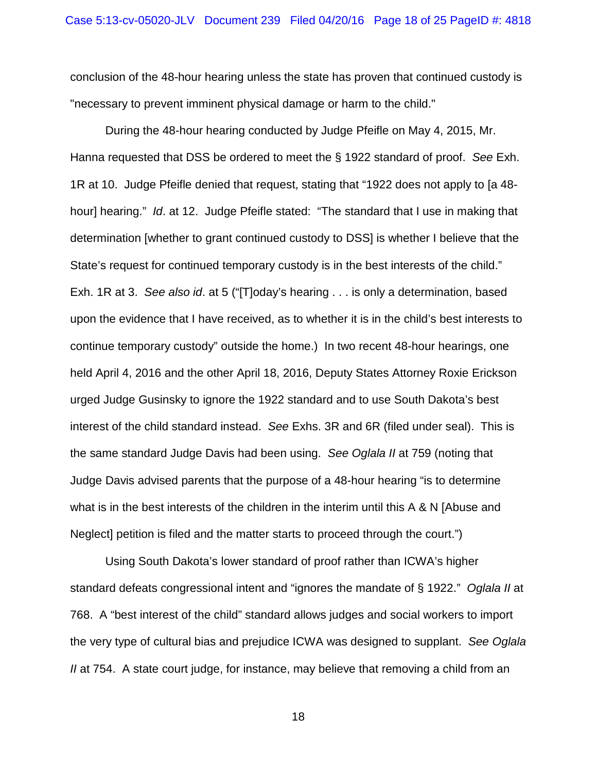conclusion of the 48-hour hearing unless the state has proven that continued custody is "necessary to prevent imminent physical damage or harm to the child."

During the 48-hour hearing conducted by Judge Pfeifle on May 4, 2015, Mr. Hanna requested that DSS be ordered to meet the § 1922 standard of proof. *See* Exh. 1R at 10. Judge Pfeifle denied that request, stating that "1922 does not apply to [a 48 hour] hearing." *Id*. at 12. Judge Pfeifle stated: "The standard that I use in making that determination [whether to grant continued custody to DSS] is whether I believe that the State's request for continued temporary custody is in the best interests of the child." Exh. 1R at 3. *See also id*. at 5 ("[T]oday's hearing . . . is only a determination, based upon the evidence that I have received, as to whether it is in the child's best interests to continue temporary custody" outside the home.) In two recent 48-hour hearings, one held April 4, 2016 and the other April 18, 2016, Deputy States Attorney Roxie Erickson urged Judge Gusinsky to ignore the 1922 standard and to use South Dakota's best interest of the child standard instead. *See* Exhs. 3R and 6R (filed under seal). This is the same standard Judge Davis had been using. *See Oglala II* at 759 (noting that Judge Davis advised parents that the purpose of a 48-hour hearing "is to determine what is in the best interests of the children in the interim until this A & N [Abuse and Neglect] petition is filed and the matter starts to proceed through the court.")

Using South Dakota's lower standard of proof rather than ICWA's higher standard defeats congressional intent and "ignores the mandate of § 1922." *Oglala II* at 768. A "best interest of the child" standard allows judges and social workers to import the very type of cultural bias and prejudice ICWA was designed to supplant. *See Oglala II* at 754. A state court judge, for instance, may believe that removing a child from an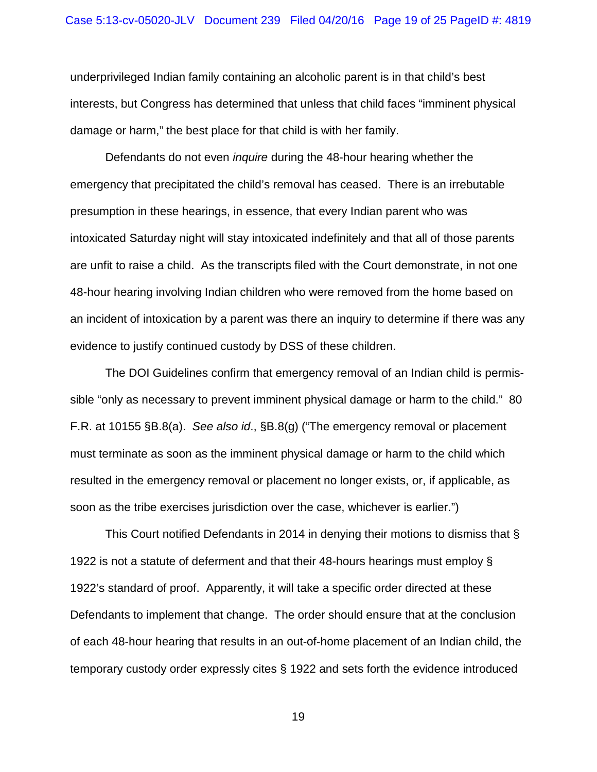underprivileged Indian family containing an alcoholic parent is in that child's best interests, but Congress has determined that unless that child faces "imminent physical damage or harm," the best place for that child is with her family.

Defendants do not even *inquire* during the 48-hour hearing whether the emergency that precipitated the child's removal has ceased. There is an irrebutable presumption in these hearings, in essence, that every Indian parent who was intoxicated Saturday night will stay intoxicated indefinitely and that all of those parents are unfit to raise a child. As the transcripts filed with the Court demonstrate, in not one 48-hour hearing involving Indian children who were removed from the home based on an incident of intoxication by a parent was there an inquiry to determine if there was any evidence to justify continued custody by DSS of these children.

The DOI Guidelines confirm that emergency removal of an Indian child is permissible "only as necessary to prevent imminent physical damage or harm to the child." 80 F.R. at 10155 §B.8(a). *See also id*., §B.8(g) ("The emergency removal or placement must terminate as soon as the imminent physical damage or harm to the child which resulted in the emergency removal or placement no longer exists, or, if applicable, as soon as the tribe exercises jurisdiction over the case, whichever is earlier.")

This Court notified Defendants in 2014 in denying their motions to dismiss that § 1922 is not a statute of deferment and that their 48-hours hearings must employ § 1922's standard of proof. Apparently, it will take a specific order directed at these Defendants to implement that change. The order should ensure that at the conclusion of each 48-hour hearing that results in an out-of-home placement of an Indian child, the temporary custody order expressly cites § 1922 and sets forth the evidence introduced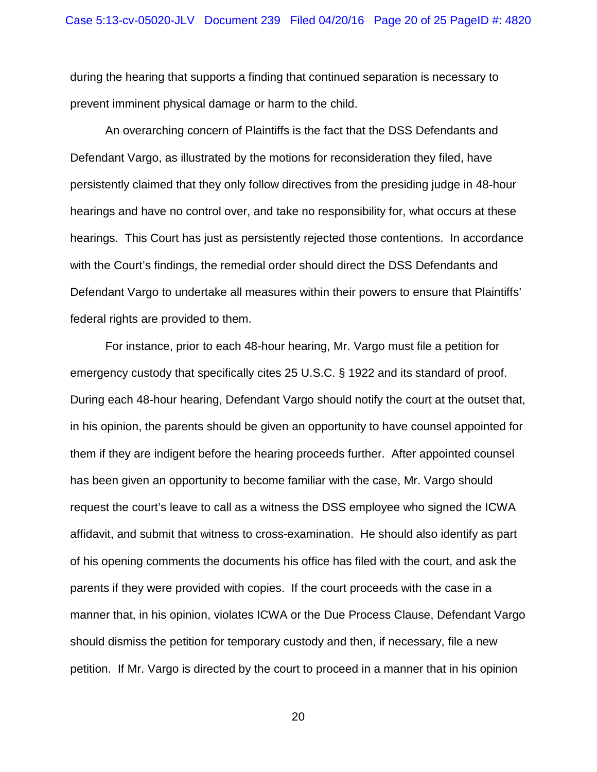during the hearing that supports a finding that continued separation is necessary to prevent imminent physical damage or harm to the child.

An overarching concern of Plaintiffs is the fact that the DSS Defendants and Defendant Vargo, as illustrated by the motions for reconsideration they filed, have persistently claimed that they only follow directives from the presiding judge in 48-hour hearings and have no control over, and take no responsibility for, what occurs at these hearings. This Court has just as persistently rejected those contentions. In accordance with the Court's findings, the remedial order should direct the DSS Defendants and Defendant Vargo to undertake all measures within their powers to ensure that Plaintiffs' federal rights are provided to them.

For instance, prior to each 48-hour hearing, Mr. Vargo must file a petition for emergency custody that specifically cites 25 U.S.C. § 1922 and its standard of proof. During each 48-hour hearing, Defendant Vargo should notify the court at the outset that, in his opinion, the parents should be given an opportunity to have counsel appointed for them if they are indigent before the hearing proceeds further. After appointed counsel has been given an opportunity to become familiar with the case, Mr. Vargo should request the court's leave to call as a witness the DSS employee who signed the ICWA affidavit, and submit that witness to cross-examination. He should also identify as part of his opening comments the documents his office has filed with the court, and ask the parents if they were provided with copies. If the court proceeds with the case in a manner that, in his opinion, violates ICWA or the Due Process Clause, Defendant Vargo should dismiss the petition for temporary custody and then, if necessary, file a new petition. If Mr. Vargo is directed by the court to proceed in a manner that in his opinion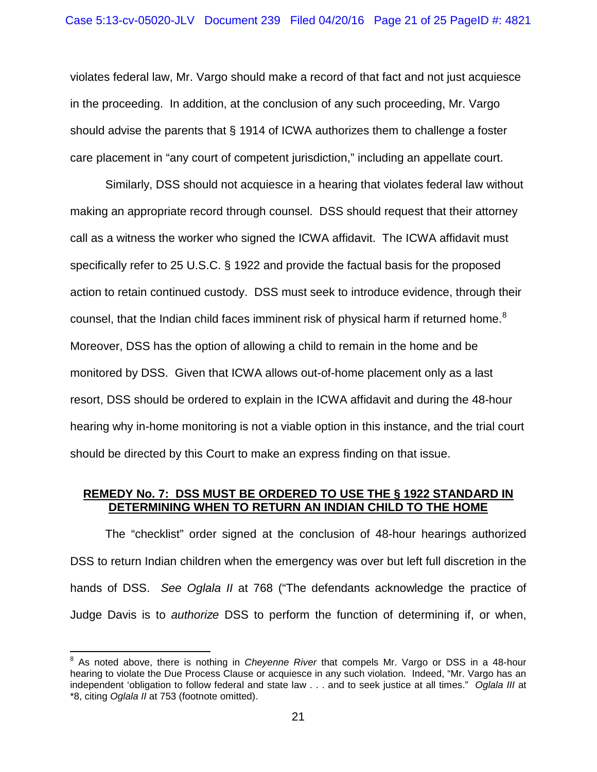violates federal law, Mr. Vargo should make a record of that fact and not just acquiesce in the proceeding. In addition, at the conclusion of any such proceeding, Mr. Vargo should advise the parents that § 1914 of ICWA authorizes them to challenge a foster care placement in "any court of competent jurisdiction," including an appellate court.

Similarly, DSS should not acquiesce in a hearing that violates federal law without making an appropriate record through counsel. DSS should request that their attorney call as a witness the worker who signed the ICWA affidavit. The ICWA affidavit must specifically refer to 25 U.S.C. § 1922 and provide the factual basis for the proposed action to retain continued custody. DSS must seek to introduce evidence, through their counsel, that the Indian child faces imminent risk of physical harm if returned home.<sup>[8](#page-20-0)</sup> Moreover, DSS has the option of allowing a child to remain in the home and be monitored by DSS. Given that ICWA allows out-of-home placement only as a last resort, DSS should be ordered to explain in the ICWA affidavit and during the 48-hour hearing why in-home monitoring is not a viable option in this instance, and the trial court should be directed by this Court to make an express finding on that issue.

### **REMEDY No. 7: DSS MUST BE ORDERED TO USE THE § 1922 STANDARD IN DETERMINING WHEN TO RETURN AN INDIAN CHILD TO THE HOME**

The "checklist" order signed at the conclusion of 48-hour hearings authorized DSS to return Indian children when the emergency was over but left full discretion in the hands of DSS. *See Oglala II* at 768 ("The defendants acknowledge the practice of Judge Davis is to *authorize* DSS to perform the function of determining if, or when,

<span id="page-20-0"></span><sup>8</sup> As noted above, there is nothing in *Cheyenne River* that compels Mr. Vargo or DSS in a 48-hour hearing to violate the Due Process Clause or acquiesce in any such violation. Indeed, "Mr. Vargo has an independent 'obligation to follow federal and state law . . . and to seek justice at all times." *Oglala III* at \*8, citing *Oglala II* at 753 (footnote omitted).  $\overline{a}$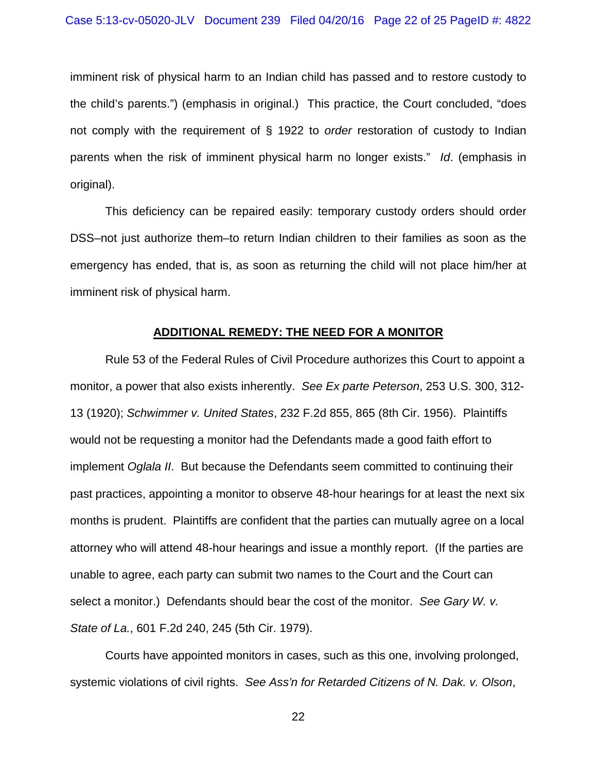imminent risk of physical harm to an Indian child has passed and to restore custody to the child's parents.") (emphasis in original.) This practice, the Court concluded, "does not comply with the requirement of § 1922 to *order* restoration of custody to Indian parents when the risk of imminent physical harm no longer exists." *Id*. (emphasis in original).

This deficiency can be repaired easily: temporary custody orders should order DSS–not just authorize them–to return Indian children to their families as soon as the emergency has ended, that is, as soon as returning the child will not place him/her at imminent risk of physical harm.

### **ADDITIONAL REMEDY: THE NEED FOR A MONITOR**

Rule 53 of the Federal Rules of Civil Procedure authorizes this Court to appoint a monitor, a power that also exists inherently. *See Ex parte Peterson*, 253 U.S. 300, 312- 13 (1920); *Schwimmer v. United States*, 232 F.2d 855, 865 (8th Cir. 1956). Plaintiffs would not be requesting a monitor had the Defendants made a good faith effort to implement *Oglala II*. But because the Defendants seem committed to continuing their past practices, appointing a monitor to observe 48-hour hearings for at least the next six months is prudent. Plaintiffs are confident that the parties can mutually agree on a local attorney who will attend 48-hour hearings and issue a monthly report. (If the parties are unable to agree, each party can submit two names to the Court and the Court can select a monitor.) Defendants should bear the cost of the monitor. *See Gary W. v. State of La.*, 601 F.2d 240, 245 (5th Cir. 1979).

Courts have appointed monitors in cases, such as this one, involving prolonged, systemic violations of civil rights. *See Ass'n for Retarded Citizens of N. Dak. v. Olson*,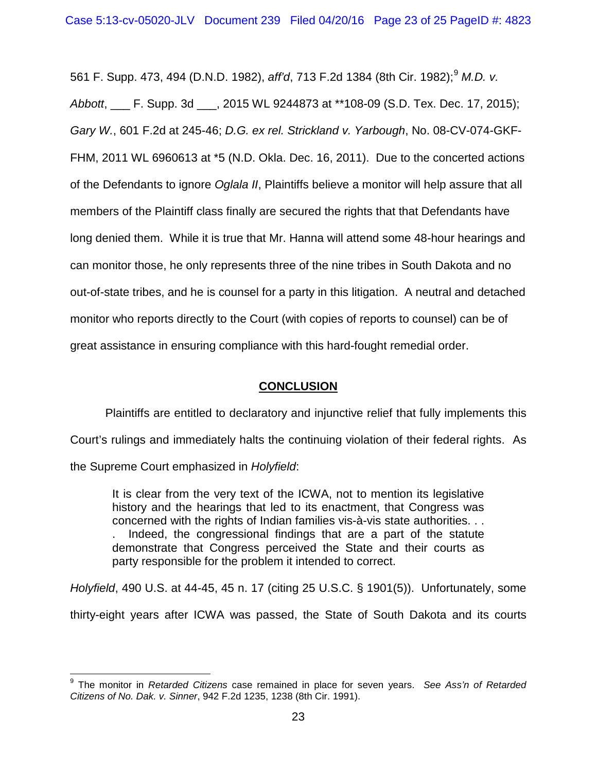561 F. Supp. 473, 4[9](#page-22-0)4 (D.N.D. 1982), *aff'd*, 713 F.2d 1384 (8th Cir. 1982);<sup>9</sup> M.D. v. *Abbott*, \_\_\_ F. Supp. 3d \_\_\_, 2015 WL 9244873 at \*\*108-09 (S.D. Tex. Dec. 17, 2015); *Gary W.*, 601 F.2d at 245-46; *D.G. ex rel. Strickland v. Yarbough*, No. 08-CV-074-GKF-FHM, 2011 WL 6960613 at \*5 (N.D. Okla. Dec. 16, 2011). Due to the concerted actions of the Defendants to ignore *Oglala II*, Plaintiffs believe a monitor will help assure that all members of the Plaintiff class finally are secured the rights that that Defendants have long denied them. While it is true that Mr. Hanna will attend some 48-hour hearings and can monitor those, he only represents three of the nine tribes in South Dakota and no out-of-state tribes, and he is counsel for a party in this litigation. A neutral and detached monitor who reports directly to the Court (with copies of reports to counsel) can be of great assistance in ensuring compliance with this hard-fought remedial order.

### **CONCLUSION**

Plaintiffs are entitled to declaratory and injunctive relief that fully implements this Court's rulings and immediately halts the continuing violation of their federal rights. As the Supreme Court emphasized in *Holyfield*:

It is clear from the very text of the ICWA, not to mention its legislative history and the hearings that led to its enactment, that Congress was concerned with the rights of Indian families vis-à-vis state authorities. . . . Indeed, the congressional findings that are a part of the statute demonstrate that Congress perceived the State and their courts as party responsible for the problem it intended to correct.

*Holyfield*, 490 U.S. at 44-45, 45 n. 17 (citing 25 U.S.C. § 1901(5)). Unfortunately, some thirty-eight years after ICWA was passed, the State of South Dakota and its courts

<span id="page-22-0"></span><sup>9</sup> The monitor in *Retarded Citizens* case remained in place for seven years. *See Ass'n of Retarded Citizens of No. Dak. v. Sinner*, 942 F.2d 1235, 1238 (8th Cir. 1991).  $\overline{\phantom{a}}$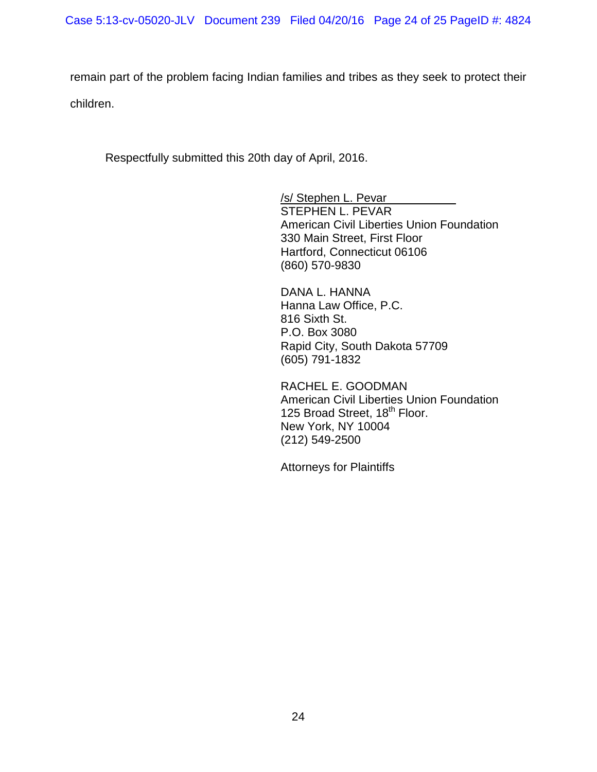remain part of the problem facing Indian families and tribes as they seek to protect their children.

Respectfully submitted this 20th day of April, 2016.

/s/ Stephen L. Pevar STEPHEN L. PEVAR American Civil Liberties Union Foundation 330 Main Street, First Floor Hartford, Connecticut 06106 (860) 570-9830

DANA L. HANNA Hanna Law Office, P.C. 816 Sixth St. P.O. Box 3080 Rapid City, South Dakota 57709 (605) 791-1832

RACHEL E. GOODMAN American Civil Liberties Union Foundation 125 Broad Street, 18<sup>th</sup> Floor. New York, NY 10004 (212) 549-2500

Attorneys for Plaintiffs